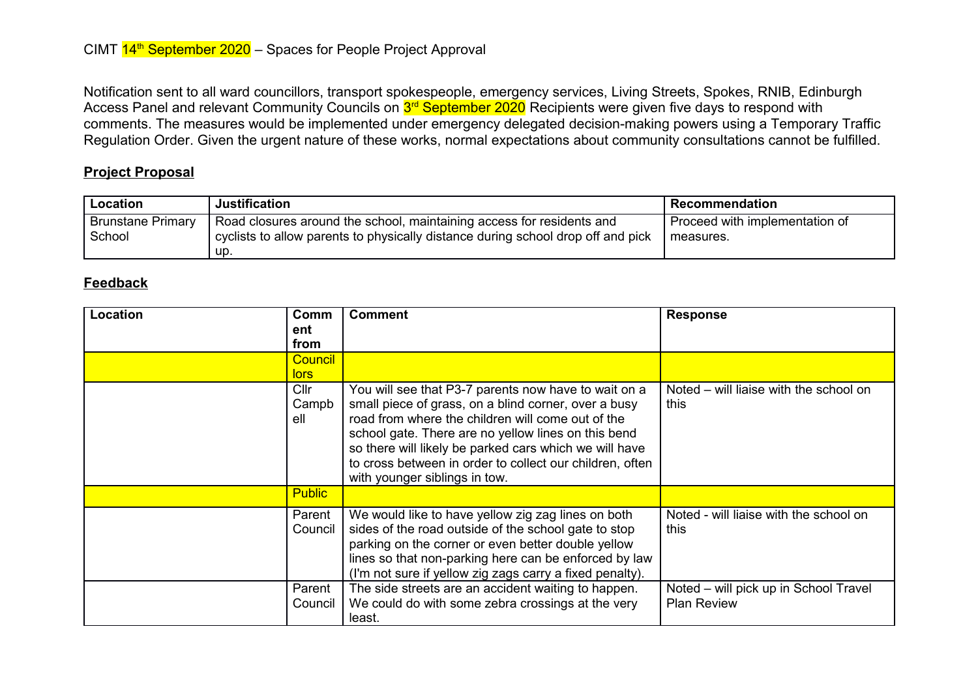Notification sent to all ward councillors, transport spokespeople, emergency services, Living Streets, Spokes, RNIB, Edinburgh Access Panel and relevant Community Councils on <mark>3<sup>rd</sup> September 2020</mark> Recipients were given five days to respond with comments. The measures would be implemented under emergency delegated decision-making powers using a Temporary Traffic Regulation Order. Given the urgent nature of these works, normal expectations about community consultations cannot be fulfilled.

## **Project Proposal**

| Location                           | <b>Justification</b>                                                                                                                                            | Recommendation                              |
|------------------------------------|-----------------------------------------------------------------------------------------------------------------------------------------------------------------|---------------------------------------------|
| <b>Brunstane Primary</b><br>School | Road closures around the school, maintaining access for residents and<br>cyclists to allow parents to physically distance during school drop off and pick<br>up | Proceed with implementation of<br>measures. |

## **Feedback**

| Location | Comm<br>ent          | <b>Comment</b>                                                                                                                                                                                                                                                                                                                                                                  | <b>Response</b>                                             |
|----------|----------------------|---------------------------------------------------------------------------------------------------------------------------------------------------------------------------------------------------------------------------------------------------------------------------------------------------------------------------------------------------------------------------------|-------------------------------------------------------------|
|          | from                 |                                                                                                                                                                                                                                                                                                                                                                                 |                                                             |
|          | <b>Council</b>       |                                                                                                                                                                                                                                                                                                                                                                                 |                                                             |
|          | lors                 |                                                                                                                                                                                                                                                                                                                                                                                 |                                                             |
|          | Cllr<br>Campb<br>ell | You will see that P3-7 parents now have to wait on a<br>small piece of grass, on a blind corner, over a busy<br>road from where the children will come out of the<br>school gate. There are no yellow lines on this bend<br>so there will likely be parked cars which we will have<br>to cross between in order to collect our children, often<br>with younger siblings in tow. | Noted – will liaise with the school on<br>this              |
|          | <b>Public</b>        |                                                                                                                                                                                                                                                                                                                                                                                 |                                                             |
|          | Parent<br>Council    | We would like to have yellow zig zag lines on both<br>sides of the road outside of the school gate to stop<br>parking on the corner or even better double yellow<br>lines so that non-parking here can be enforced by law<br>(I'm not sure if yellow zig zags carry a fixed penalty).                                                                                           | Noted - will liaise with the school on<br>this              |
|          | Parent<br>Council    | The side streets are an accident waiting to happen.<br>We could do with some zebra crossings at the very<br>least.                                                                                                                                                                                                                                                              | Noted – will pick up in School Travel<br><b>Plan Review</b> |